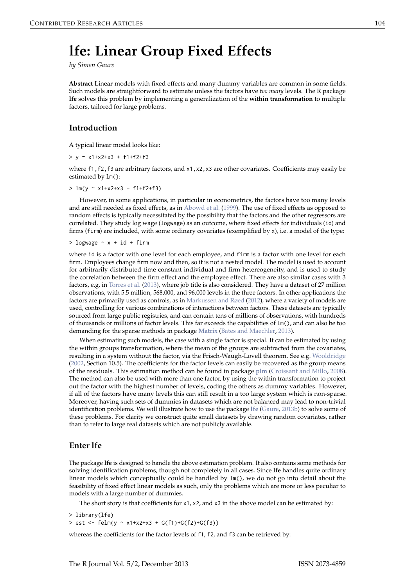# <span id="page-0-0"></span>**lfe: Linear Group Fixed Effects**

*by Simen Gaure*

**Abstract** Linear models with fixed effects and many dummy variables are common in some fields. Such models are straightforward to estimate unless the factors have *too many* levels. The R package **lfe** solves this problem by implementing a generalization of the **within transformation** to multiple factors, tailored for large problems.

## **Introduction**

A typical linear model looks like:

 $> y \sim x1+x2+x3 + f1+f2+f3$ 

where f1, f2, f3 are arbitrary factors, and x1, x2, x3 are other covariates. Coefficients may easily be estimated by lm():

 $> \text{lm}(y \sim x1+x2+x3 + f1+f2+f3)$ 

However, in some applications, in particular in econometrics, the factors have too many levels and are still needed as fixed effects, as in [Abowd et al.](#page-11-0) [\(1999\)](#page-11-0). The use of fixed effects as opposed to random effects is typically necessitated by the possibility that the factors and the other regressors are correlated. They study log wage (logwage) as an outcome, where fixed effects for individuals (id) and firms (firm) are included, with some ordinary covariates (exemplified by x), i.e. a model of the type:

 $>$  logwage  $\sim$  x + id + firm

where id is a factor with one level for each employee, and firm is a factor with one level for each firm. Employees change firm now and then, so it is not a nested model. The model is used to account for arbitrarily distributed time constant individual and firm hetereogeneity, and is used to study the correlation between the firm effect and the employee effect. There are also similar cases with 3 factors, e.g. in [Torres et al.](#page-12-0) [\(2013\)](#page-12-0), where job title is also considered. They have a dataset of 27 million observations, with 5.5 million, 568,000, and 96,000 levels in the three factors. In other applications the factors are primarily used as controls, as in [Markussen and Røed](#page-12-1) [\(2012\)](#page-12-1), where a variety of models are used, controlling for various combinations of interactions between factors. These datasets are typically sourced from large public registries, and can contain tens of millions of observations, with hundreds of thousands or millions of factor levels. This far exceeds the capabilities of lm(), and can also be too demanding for the sparse methods in package **[Matrix](http://CRAN.R-project.org/package=Matrix)** [\(Bates and Maechler,](#page-11-1) [2013\)](#page-11-1).

When estimating such models, the case with a single factor is special. It can be estimated by using the within groups transformation, where the mean of the groups are subtracted from the covariates, resulting in a system without the factor, via the Frisch-Waugh-Lovell theorem. See e.g. [Wooldridge](#page-12-2) [\(2002,](#page-12-2) Section 10.5). The coefficients for the factor levels can easily be recovered as the group means of the residuals. This estimation method can be found in package **[plm](http://CRAN.R-project.org/package=plm)** [\(Croissant and Millo,](#page-11-2) [2008\)](#page-11-2). The method can also be used with more than one factor, by using the within transformation to project out the factor with the highest number of levels, coding the others as dummy variables. However, if all of the factors have many levels this can still result in a too large system which is non-sparse. Moreover, having such sets of dummies in datasets which are not balanced may lead to non-trivial identification problems. We will illustrate how to use the package **[lfe](http://CRAN.R-project.org/package=lfe)** [\(Gaure,](#page-11-3) [2013b\)](#page-11-3) to solve some of these problems. For clarity we construct quite small datasets by drawing random covariates, rather than to refer to large real datasets which are not publicly available.

## **Enter lfe**

The package **lfe** is designed to handle the above estimation problem. It also contains some methods for solving identification problems, though not completely in all cases. Since **lfe** handles quite ordinary linear models which conceptually could be handled by lm(), we do not go into detail about the feasibility of fixed effect linear models as such, only the problems which are more or less peculiar to models with a large number of dummies.

The short story is that coefficients for x1, x2, and x3 in the above model can be estimated by:

> library(lfe)

 $>$  est <- felm(y  $\sim x1+x2+x3 + G(f1)+G(f2)+G(f3)$ )

whereas the coefficients for the factor levels of f1, f2, and f3 can be retrieved by: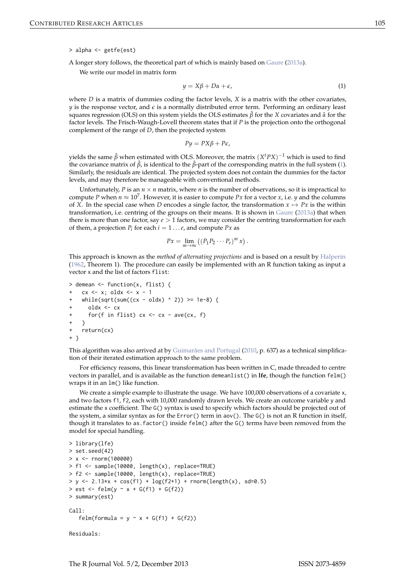<span id="page-1-1"></span>> alpha <- getfe(est)

A longer story follows, the theoretical part of which is mainly based on [Gaure](#page-11-4) [\(2013a\)](#page-11-4).

We write our model in matrix form

<span id="page-1-0"></span>
$$
y = X\beta + D\alpha + \epsilon,\tag{1}
$$

where *D* is a matrix of dummies coding the factor levels, *X* is a matrix with the other covariates,  $y$  is the response vector, and  $\varepsilon$  is a normally distributed error term. Performing an ordinary least squares regression (OLS) on this system yields the OLS estimates *β*ˆ for the *X* covariates and *α*ˆ for the factor levels. The Frisch-Waugh-Lovell theorem states that if *P* is the projection onto the orthogonal complement of the range of *D*, then the projected system

$$
Py = PX\beta + P\epsilon,
$$

yields the same  $\hat{\beta}$  when estimated with OLS. Moreover, the matrix  $(X^t P X)^{-1}$  which is used to find the covariance matrix of *β*ˆ, is identical to the *β*ˆ-part of the corresponding matrix in the full system [\(1\)](#page-1-0). Similarly, the residuals are identical. The projected system does not contain the dummies for the factor levels, and may therefore be manageable with conventional methods.

Unfortunately,  $P$  is an  $n \times n$  matrix, where  $n$  is the number of observations, so it is impractical to compute *P* when  $n \approx 10^7$ . However, it is easier to compute *Px* for a vector *x*, i.e. *y* and the columns of *X*. In the special case when *D* encodes a single factor, the transformation  $x \mapsto Px$  is the within transformation, i.e. centring of the groups on their means. It is shown in [Gaure](#page-11-4) [\(2013a\)](#page-11-4) that when there is more than one factor, say *e* > 1 factors, we may consider the centring transformation for each of them, a projection  $P_i$  for each  $i = 1 \dots e$ , and compute  $Px$  as

$$
Px = \lim_{m \to \infty} \left( \left( P_1 P_2 \cdots P_e \right)^m x \right).
$$

This approach is known as the *method of alternating projections* and is based on a result by [Halperin](#page-12-3) [\(1962,](#page-12-3) Theorem 1). The procedure can easily be implemented with an R function taking as input a vector x and the list of factors flist:

```
> demean <- function(x, flist) {
    cx \leq x; oldx \leq -x - 1while(sqrt(sum((cx - oldx) ^ 2)) \ge 1e-8) {
      oldx < -cxfor(f in flist) cx \leq cx - ave(cx, f)
    \rightarrowreturn(cx)+ }
```
This algorithm was also arrived at by [Guimarães and Portugal](#page-12-4) [\(2010,](#page-12-4) p. 637) as a technical simplification of their iterated estimation approach to the same problem.

For efficiency reasons, this linear transformation has been written in C, made threaded to centre vectors in parallel, and is available as the function demeanlist() in **lfe**, though the function felm() wraps it in an lm() like function.

We create a simple example to illustrate the usage. We have 100,000 observations of a covariate x, and two factors f1, f2, each with 10,000 randomly drawn levels. We create an outcome variable y and estimate the x coefficient. The G() syntax is used to specify which factors should be projected out of the system, a similar syntax as for the Error() term in aov(). The G() is not an R function in itself, though it translates to as.factor() inside felm() after the G() terms have been removed from the model for special handling.

```
> library(lfe)
> set.seed(42)
> x <- rnorm(100000)
> f1 <- sample(10000, length(x), replace=TRUE)
> f2 <- sample(10000, length(x), replace=TRUE)
> y <- 2.13*x + cos(f1) + log(f2+1) + rnorm(length(x), sd=0.5)
>  est <- felm(y \sim x + G(f1) + G(f2))
> summary(est)
Call:felm(formula = y \sim x + G(f1) + G(f2))
Residuals:
```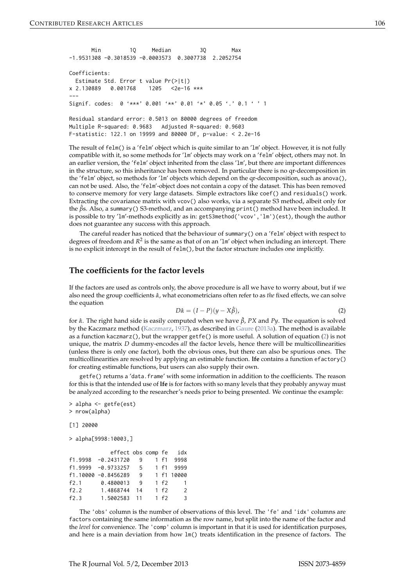```
Min 1Q Median 3Q Max
-1.9531308 -0.3018539 -0.0003573 0.3007738 2.2052754
Coefficients:
 Estimate Std. Error t value Pr(>|t|)
x 2.130889 0.001768 1205 <2e-16 ***
---
Signif. codes: 0 '***' 0.001 '**' 0.01 '*' 0.05 '.' 0.1 ' ' 1
Residual standard error: 0.5013 on 80000 degrees of freedom
```
Multiple R-squared: 0.9683 Adjusted R-squared: 0.9603 F-statistic: 122.1 on 19999 and 80000 DF, p-value: < 2.2e-16

The result of felm() is a 'felm' object which is quite similar to an 'lm' object. However, it is not fully compatible with it, so some methods for 'lm' objects may work on a 'felm' object, others may not. In an earlier version, the 'felm' object inherited from the class 'lm', but there are important differences in the structure, so this inheritance has been removed. In particular there is no qr-decomposition in the 'felm' object, so methods for 'lm' objects which depend on the qr-decomposition, such as anova(), can not be used. Also, the 'felm'-object does not contain a copy of the dataset. This has been removed to conserve memory for very large datasets. Simple extractors like coef() and residuals() work. Extracting the covariance matrix with vcov() also works, via a separate S3 method, albeit only for the  $\hat{\beta}$ s. Also, a summary() S3-method, and an accompanying print() method have been included. It is possible to try 'lm'-methods explicitly as in: getS3method('vcov','lm')(est), though the author does not guarantee any success with this approach.

The careful reader has noticed that the behaviour of summary() on a 'felm' object with respect to degrees of freedom and  $R^2$  is the same as that of on an 'lm' object when including an intercept. There is no explicit intercept in the result of felm(), but the factor structure includes one implicitly.

## **The coefficients for the factor levels**

<span id="page-2-0"></span>If the factors are used as controls only, the above procedure is all we have to worry about, but if we also need the group coefficients *α*ˆ, what econometricians often refer to as *the* fixed effects, we can solve the equation

$$
D\hat{\alpha} = (I - P)(y - X\hat{\beta}),\tag{2}
$$

for *α*ˆ. The right hand side is easily computed when we have *β*ˆ, *PX* and *Py*. The equation is solved by the Kaczmarz method [\(Kaczmarz,](#page-12-5) [1937\)](#page-12-5), as described in [Gaure](#page-11-4) [\(2013a\)](#page-11-4). The method is available as a function kaczmarz(), but the wrapper getfe() is more useful. A solution of equation [\(2\)](#page-2-0) is not unique, the matrix *D* dummy-encodes *all* the factor levels, hence there will be multicollinearities (unless there is only one factor), both the obvious ones, but there can also be spurious ones. The multicollinearities are resolved by applying an estimable function. **lfe** contains a function efactory() for creating estimable functions, but users can also supply their own.

getfe() returns a 'data.frame' with some information in addition to the coefficients. The reason for this is that the intended use of **lfe** is for factors with so many levels that they probably anyway must be analyzed according to the researcher's needs prior to being presented. We continue the example:

```
> alpha <- getfe(est)
> nrow(alpha)
[1] 20000
> alpha[9998:10003,]
           effect obs comp fe idx
f1.9998 -0.2431720 9 1 f1 9998
f1.9999 -0.9733257 5
f1.10000 -0.8456289 9 1 f1 10000
f2.1 0.4800013 9 1 f2 1
```
The 'obs' column is the number of observations of this level. The 'fe' and 'idx' columns are factors containing the same information as the row name, but split into the name of the factor and the *level* for convenience. The 'comp' column is important in that it is used for identification purposes, and here is a main deviation from how lm() treats identification in the presence of factors. The

f2.2 1.4868744 14 1 f2 2 f2.3 1.5002583 11 1 f2 3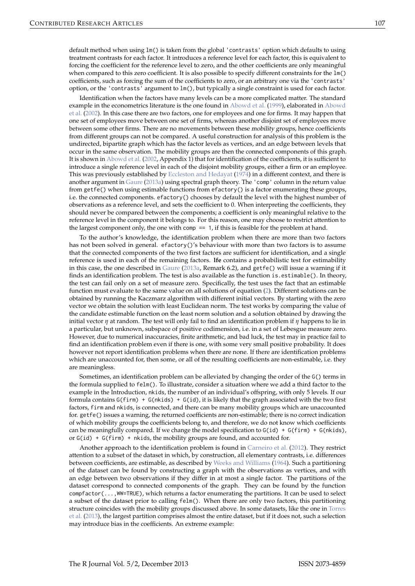<span id="page-3-0"></span>Identification when the factors have many levels can be a more complicated matter. The standard example in the econometrics literature is the one found in [Abowd et al.](#page-11-0) [\(1999\)](#page-11-0), elaborated in [Abowd](#page-11-5) [et al.](#page-11-5) [\(2002\)](#page-11-5). In this case there are two factors, one for employees and one for firms. It may happen that one set of employees move between one set of firms, whereas another disjoint set of employees move between some other firms. There are no movements between these mobility groups, hence coefficients from different groups can not be compared. A useful construction for analysis of this problem is the undirected, bipartite graph which has the factor levels as vertices, and an edge between levels that occur in the same observation. The mobility groups are then the connected components of this graph. It is shown in [Abowd et al.](#page-11-5) [\(2002,](#page-11-5) Appendix 1) that for identification of the coefficients, it is sufficient to introduce a single reference level in each of the disjoint mobility groups, either a firm or an employee. This was previously established by [Eccleston and Hedayat](#page-11-6) [\(1974\)](#page-11-6) in a different context, and there is another argument in [Gaure](#page-11-4) [\(2013a\)](#page-11-4) using spectral graph theory. The 'comp' column in the return value from getfe() when using estimable functions from efactory() is a factor enumerating these groups, i.e. the connected components. efactory() chooses by default the level with the highest number of observations as a reference level, and sets the coefficient to 0. When interpreting the coefficients, they should never be compared between the components; a coefficient is only meaningful relative to the reference level in the component it belongs to. For this reason, one may choose to restrict attention to the largest component only, the one with comp  $== 1$ , if this is feasible for the problem at hand.

To the author's knowledge, the identification problem when there are more than two factors has not been solved in general. efactory()'s behaviour with more than two factors is to assume that the connected components of the two first factors are sufficient for identification, and a single reference is used in each of the remaining factors. **lfe** contains a probabilistic test for estimability in this case, the one described in [Gaure](#page-11-4) [\(2013a,](#page-11-4) Remark 6.2), and getfe() will issue a warning if it finds an identification problem. The test is also available as the function is.estimable(). In theory, the test can fail only on a set of measure zero. Specifically, the test uses the fact that an estimable function must evaluate to the same value on all solutions of equation [\(2\)](#page-2-0). Different solutions can be obtained by running the Kaczmarz algorithm with different initial vectors. By starting with the zero vector we obtain the solution with least Euclidean norm. The test works by comparing the value of the candidate estimable function on the least norm solution and a solution obtained by drawing the initial vector *η* at random. The test will only fail to find an identification problem if *η* happens to lie in a particular, but unknown, subspace of positive codimension, i.e. in a set of Lebesgue measure zero. However, due to numerical inaccuracies, finite arithmetic, and bad luck, the test may in practice fail to find an identification problem even if there is one, with some very small positive probability. It does however not report identification problems when there are none. If there are identification problems which are unaccounted for, then some, or all of the resulting coefficients are non-estimable, i.e. they are meaningless.

Sometimes, an identification problem can be alleviated by changing the order of the G() terms in the formula supplied to felm(). To illustrate, consider a situation where we add a third factor to the example in the Introduction, nkids, the number of an individual's offspring, with only 5 levels. If our formula contains  $G(firm) + G(nkids) + G(id)$ , it is likely that the graph associated with the two first factors, firm and nkids, is connected, and there can be many mobility groups which are unaccounted for. getfe() issues a warning, the returned coefficients are non-estimable; there is no correct indication of which mobility groups the coefficients belong to, and therefore, we do not know which coefficients can be meaningfully compared. If we change the model specification to  $G(id) + G(firm) + G(nkids)$ , or  $G(id) + G(firm) +$  nkids, the mobility groups are found, and accounted for.

Another approach to the identification problem is found in [Carneiro et al.](#page-11-7) [\(2012\)](#page-11-7). They restrict attention to a subset of the dataset in which, by construction, all elementary contrasts, i.e. differences between coefficients, are estimable, as described by [Weeks and Williams](#page-12-6) [\(1964\)](#page-12-6). Such a partitioning of the dataset can be found by constructing a graph with the observations as vertices, and with an edge between two observations if they differ in at most a single factor. The partitions of the dataset correspond to connected components of the graph. They can be found by the function compfactor(...,WW=TRUE), which returns a factor enumerating the partitions. It can be used to select a subset of the dataset prior to calling felm(). When there are only two factors, this partitioning structure coincides with the mobility groups discussed above. In some datasets, like the one in [Torres](#page-12-0) [et al.](#page-12-0) [\(2013\)](#page-12-0), the largest partition comprises almost the entire dataset, but if it does not, such a selection may introduce bias in the coefficients. An extreme example: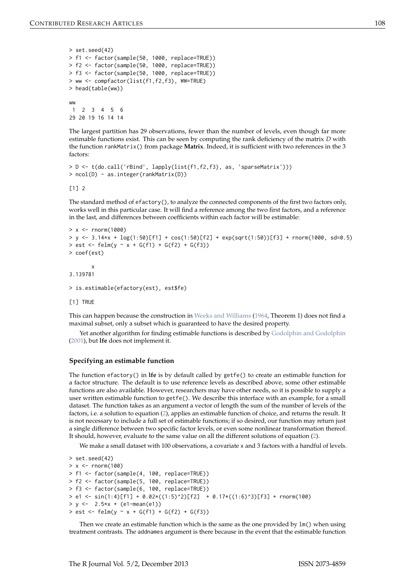```
> set.seed(42)
> f1 <- factor(sample(50, 1000, replace=TRUE))
> f2 <- factor(sample(50, 1000, replace=TRUE))
> f3 <- factor(sample(50, 1000, replace=TRUE))
> ww <- compfactor(list(f1,f2,f3), WW=TRUE)
> head(table(ww))
ww
1 2 3 4 5 6
29 20 19 16 14 14
```
The largest partition has 29 observations, fewer than the number of levels, even though far more estimable functions exist. This can be seen by computing the rank deficiency of the matrix *D* with the function rankMatrix() from package **Matrix**. Indeed, it is sufficient with two references in the 3 factors:

```
> D <- t(do.call('rBind', lapply(list(f1,f2,f3), as, 'sparseMatrix')))
> ncol(D) - as.integer(rankMatrix(D))
```
[1] 2

The standard method of efactory(), to analyze the connected components of the first two factors only, works well in this particular case. It will find a reference among the two first factors, and a reference in the last, and differences between coefficients within each factor will be estimable:

```
> x < - rnorm(1000)
> y <- 3.14*x + log(1:50)[f1] + cos(1:50)[f2] + exp(sqrt(1:50))[f3] + rnorm(1000, sd=0.5)
> est <- felm(y ~ x + G(f1) + G(f2) + G(f3))
> coef(est)
       x
3.139781
> is.estimable(efactory(est), est$fe)
```
[1] TRUE

This can happen because the construction in [Weeks and Williams](#page-12-6) [\(1964,](#page-12-6) Theorem 1) does not find a maximal subset, only a subset which is guaranteed to have the desired property.

Yet another algorithm for finding estimable functions is described by [Godolphin and Godolphin](#page-11-8) [\(2001\)](#page-11-8), but **lfe** does not implement it.

#### **Specifying an estimable function**

The function efactory() in **lfe** is by default called by getfe() to create an estimable function for a factor structure. The default is to use reference levels as described above, some other estimable functions are also available. However, researchers may have other needs, so it is possible to supply a user written estimable function to getfe(). We describe this interface with an example, for a small dataset. The function takes as an argument a vector of length the sum of the number of levels of the factors, i.e. a solution to equation [\(2\)](#page-2-0), applies an estimable function of choice, and returns the result. It is not necessary to include a full set of estimable functions; if so desired, our function may return just a single difference between two specific factor levels, or even some nonlinear transformation thereof. It should, however, evaluate to the same value on all the different solutions of equation [\(2\)](#page-2-0).

We make a small dataset with 100 observations, a covariate x and 3 factors with a handful of levels.

```
> set.seed(42)
> x < - rnorm(100)
> f1 <- factor(sample(4, 100, replace=TRUE))
> f2 <- factor(sample(5, 100, replace=TRUE))
> f3 <- factor(sample(6, 100, replace=TRUE))
> e1 <- sin(1:4)[f1] + 0.02*((1:5)^2)[f2] + 0.17*((1:6)^3)[f3] + rnorm(100)
> y < -2.5*x + (e1 - mean(e1))> est <- felm(y \sim x + G(f1) + G(f2) + G(f3))
```
Then we create an estimable function which is the same as the one provided by  $lm()$  when using treatment contrasts. The addnames argument is there because in the event that the estimable function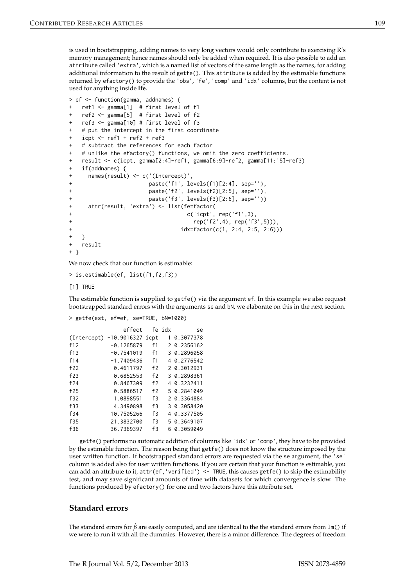is used in bootstrapping, adding names to very long vectors would only contribute to exercising R's memory management; hence names should only be added when required. It is also possible to add an attribute called 'extra', which is a named list of vectors of the same length as the names, for adding additional information to the result of getfe(). This attribute is added by the estimable functions returned by efactory() to provide the 'obs', 'fe', 'comp' and 'idx' columns, but the content is not used for anything inside **lfe**.

```
> ef <- function(gamma, addnames) {
   ref1 < - gamma[1] # first level of f1
   ref2 < - gamma[5] # first level of f2
   ref3 < - gamma[10] # first level of f3
   + # put the intercept in the first coordinate
   icpt <- ref1 + ref2 + ref3
   + # subtract the references for each factor
   # unlike the efactory() functions, we omit the zero coefficients.
   + result <- c(icpt, gamma[2:4]-ref1, gamma[6:9]-ref2, gamma[11:15]-ref3)
   if(addnames) {
     names(result) <- c('(Intercept)',
                      paste('f1', levels(f1)[2:4], sep=''),
+ paste('f2', levels(f2)[2:5], sep=''),
                      paste('f3', levels(f3)[2:6], sep=''))
     attr(result, 'extra') <- list(fe=factor(
                                 c('icpt', rep('f1',3),+ rep('f2',4), rep('f3',5))),
+ idx=factor(c(1, 2:4, 2:5, 2:6)))
+ }
   result
+ }
```
We now check that our function is estimable:

> is.estimable(ef, list(f1,f2,f3))

[1] TRUE

The estimable function is supplied to getfe() via the argument ef. In this example we also request bootstrapped standard errors with the arguments se and bN, we elaborate on this in the next section.

> getfe(est, ef=ef, se=TRUE, bN=1000)

|             | effect             |    | fe idx | se          |
|-------------|--------------------|----|--------|-------------|
| (Intercept) | $-10.9016327$ icpt |    |        | 0.3077378   |
| f12         | $-0.1265879$       | f1 |        | 2 0.2356162 |
| f13         | $-0.7541019$       | f1 |        | 3 0.2896058 |
| f14         | $-1.7409436$       | f1 |        | 4 0.2776542 |
| f22         | 0.4611797          | f2 |        | 2 0.3012931 |
| f23         | 0.6852553          | f2 |        | 3 0.2898361 |
| f24         | 0.8467309          | f2 |        | 4 0.3232411 |
| f25         | 0.5886517          | f2 |        | 5 0.2841049 |
| f32         | 1.0898551          | f3 |        | 2 0.3364884 |
| f33         | 4.3490898          | f3 |        | 3 0.3058420 |
| f34         | 10.7505266         | f3 |        | 4 0.3377505 |
| f35         | 21.3832700         | f3 |        | 5 0.3649107 |
| f36         | 36.7369397         | f3 |        | 0.3059049   |

getfe() performs no automatic addition of columns like 'idx' or 'comp', they have to be provided by the estimable function. The reason being that getfe() does not know the structure imposed by the user written function. If bootstrapped standard errors are requested via the se argument, the 'se' column is added also for user written functions. If you are certain that your function is estimable, you can add an attribute to it, attr(ef, 'verified') <- TRUE, this causes getfe() to skip the estimability test, and may save significant amounts of time with datasets for which convergence is slow. The functions produced by efactory() for one and two factors have this attribute set.

#### **Standard errors**

The standard errors for *β*ˆ are easily computed, and are identical to the the standard errors from lm() if we were to run it with all the dummies. However, there is a minor difference. The degrees of freedom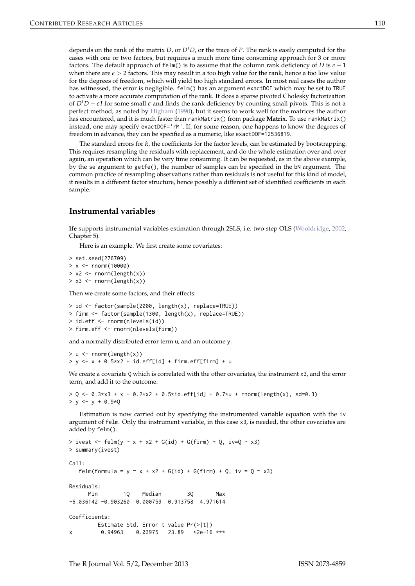<span id="page-6-0"></span>depends on the rank of the matrix *D*, or *DtD*, or the trace of *P*. The rank is easily computed for the cases with one or two factors, but requires a much more time consuming approach for 3 or more factors. The default approach of felm() is to assume that the column rank deficiency of *D* is  $e - 1$ when there are  $e > 2$  factors. This may result in a too high value for the rank, hence a too low value for the degrees of freedom, which will yield too high standard errors. In most real cases the author has witnessed, the error is negligible. felm() has an argument exactDOF which may be set to TRUE to activate a more accurate computation of the rank. It does a sparse pivoted Cholesky factorization of  $D^tD + \epsilon I$  for some small  $\epsilon$  and finds the rank deficiency by counting small pivots. This is not a perfect method, as noted by [Higham](#page-12-7) [\(1990\)](#page-12-7), but it seems to work well for the matrices the author has encountered, and it is much faster than rankMatrix() from package **Matrix**. To use rankMatrix() instead, one may specify exactDOF='rM'. If, for some reason, one happens to know the degrees of freedom in advance, they can be specified as a numeric, like exactDOF=12536819.

The standard errors for *α*ˆ, the coefficients for the factor levels, can be estimated by bootstrapping. This requires resampling the residuals with replacement, and do the whole estimation over and over again, an operation which can be very time consuming. It can be requested, as in the above example, by the se argument to getfe(), the number of samples can be specified in the bN argument. The common practice of resampling observations rather than residuals is not useful for this kind of model, it results in a different factor structure, hence possibly a different set of identified coefficients in each sample.

## **Instrumental variables**

**lfe** supports instrumental variables estimation through 2SLS, i.e. two step OLS [\(Wooldridge,](#page-12-2) [2002,](#page-12-2) Chapter 5).

Here is an example. We first create some covariates:

```
> set.seed(276709)
> x < - rnorm(10000)
> x2 < - rnorm(length(x))
> x3 < - rnorm(length(x))
```
Then we create some factors, and their effects:

```
> id <- factor(sample(2000, length(x), replace=TRUE))
> firm <- factor(sample(1300, length(x), replace=TRUE))
> id.eff <- rnorm(nlevels(id))
> firm.eff <- rnorm(nlevels(firm))
```
and a normally distributed error term u, and an outcome y:

```
> u \leq rnorm(length(x))
> y \le -x + 0.5*x^2 + id.eff-id] + firm.eff[firm] + u
```
We create a covariate Q which is correlated with the other covariates, the instrument x3, and the error term, and add it to the outcome:

```
> 0 \le \theta \le 0.3*x3 + x + 0.2*x2 + 0.5*id.eff[id] + 0.7*u + rnorm(length(x), sd=0.3)
> y < - y + 0.9*0
```
Estimation is now carried out by specifying the instrumented variable equation with the iv argument of felm. Only the instrument variable, in this case x3, is needed, the other covariates are added by felm().

```
> ivest <- felm(y \sim x + x2 + G(id) + G(firm) + Q, iv=Q \sim x3)
> summary(ivest)
Call:felm(formula = y \sim x + x2 + G(id) + G(firm) + Q, iv = Q \sim x3)
Residuals:
     Min 10 Median 30 Max
-6.036142 -0.903260 0.000759 0.913758 4.971614
Coefficients:
       Estimate Std. Error t value Pr(>|t|)
x 0.94963 0.03975 23.89 <2e-16 ***
```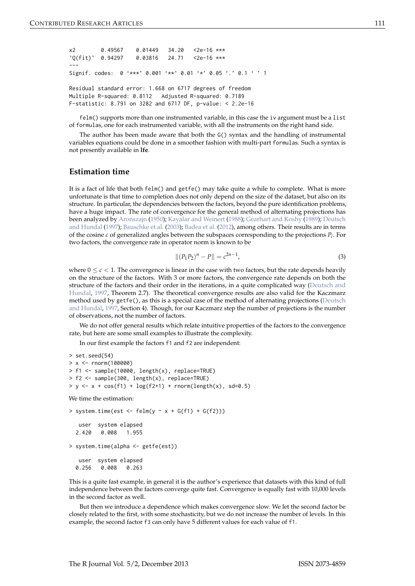```
x2 0.49567 0.01449 34.20 <2e-16 ***
`Q(fit)` 0.94297 0.03816 24.71 <2e-16 ***
---
Signif. codes: 0 '***' 0.001 '**' 0.01 '*' 0.05 '.' 0.1 ' ' 1
Residual standard error: 1.668 on 6717 degrees of freedom
Multiple R-squared: 0.8112 Adjusted R-squared: 0.7189
F-statistic: 8.791 on 3282 and 6717 DF, p-value: < 2.2e-16
```
felm() supports more than one instrumented variable, in this case the iv argument must be a list of formulas, one for each instrumented variable, with all the instruments on the right hand side.

The author has been made aware that both the G() syntax and the handling of instrumental variables equations could be done in a smoother fashion with multi-part formulas. Such a syntax is not presently available in **lfe**.

#### **Estimation time**

It is a fact of life that both felm() and getfe() may take quite a while to complete. What is more unfortunate is that time to completion does not only depend on the size of the dataset, but also on its structure. In particular, the dependencies between the factors, beyond the pure identification problems, have a huge impact. The rate of convergence for the general method of alternating projections has been analyzed by [Aronszajn](#page-11-9) [\(1950\)](#page-11-9); [Kayalar and Weinert](#page-12-8) [\(1988\)](#page-12-8); [Gearhart and Koshy](#page-11-10) [\(1989\)](#page-11-10); [Deutsch](#page-11-11) [and Hundal](#page-11-11) [\(1997\)](#page-11-11); [Bauschke et al.](#page-11-12) [\(2003\)](#page-11-12); [Badea et al.](#page-11-13) [\(2012\)](#page-11-13), among others. Their results are in terms of the cosine *c* of generalized angles between the subspaces corresponding to the projections *P<sup>i</sup>* . For two factors, the convergence rate in operator norm is known to be

<span id="page-7-0"></span>
$$
||(P_1P_2)^n - P|| = c^{2n-1},
$$
\n(3)

where  $0 \leq c < 1$ . The convergence is linear in the case with two factors, but the rate depends heavily on the structure of the factors. With 3 or more factors, the convergence rate depends on both the structure of the factors and their order in the iterations, in a quite complicated way [\(Deutsch and](#page-11-11) [Hundal,](#page-11-11) [1997,](#page-11-11) Theorem 2.7). The theoretical convergence results are also valid for the Kaczmarz method used by getfe(), as this is a special case of the method of alternating projections [\(Deutsch](#page-11-11) [and Hundal,](#page-11-11) [1997,](#page-11-11) Section 4). Though, for our Kaczmarz step the number of projections is the number of observations, not the number of factors.

We do not offer general results which relate intuitive properties of the factors to the convergence rate, but here are some small examples to illustrate the complexity.

In our first example the factors f1 and f2 are independent:

```
> set.seed(54)
> x < - rnorm(100000)
> f1 <- sample(10000, length(x), replace=TRUE)
> f2 <- sample(300, length(x), replace=TRUE)
> y <- x + cos(f1) + log(f2+1) + rnorm(length(x), sd=0.5)
```
We time the estimation:

```
> system.time(est <- felm(y \sim x + G(f1) + G(f2)))
  user system elapsed
 2.420 0.008 1.955
> system.time(alpha <- getfe(est))
  user system elapsed
```
0.256 0.008 0.263

This is a quite fast example, in general it is the author's experience that datasets with this kind of full independence between the factors converge quite fast. Convergence is equally fast with 10,000 levels in the second factor as well.

But then we introduce a dependence which makes convergence slow. We let the second factor be closely related to the first, with some stochasticity, but we do not increase the number of levels. In this example, the second factor f3 can only have 5 different values for each value of f1.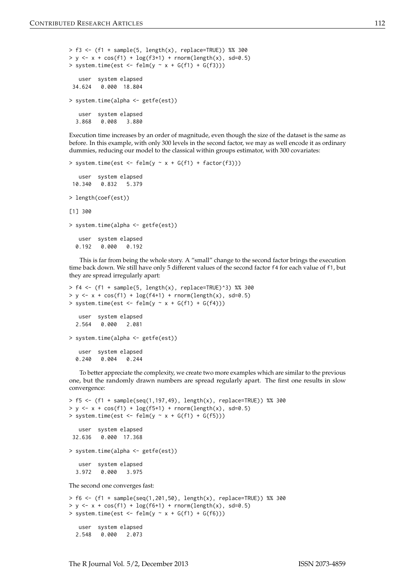```
> f3 \leq f1 + sample(5, length(x), replace=TRUE) %% 300
> y <- x + cos(f1) + log(f3+1) + rnorm(length(x), sd=0.5)
> system.time(est <- felm(y \sim x + G(f1) + G(f3)))
   user system elapsed
 34.624 0.000 18.804
> system.time(alpha <- getfe(est))
  user system elapsed
  3.868 0.008 3.880
```
Execution time increases by an order of magnitude, even though the size of the dataset is the same as before. In this example, with only 300 levels in the second factor, we may as well encode it as ordinary dummies, reducing our model to the classical within groups estimator, with 300 covariates:

```
> system.time(est <- felm(y \sim x + G(f1) + factor(f3)))
  user system elapsed
10.340 0.832 5.379
> length(coef(est))
[1] 300
> system.time(alpha <- getfe(est))
  user system elapsed
 0.192 0.000 0.192
```
This is far from being the whole story. A "small" change to the second factor brings the execution time back down. We still have only 5 different values of the second factor f4 for each value of f1, but they are spread irregularly apart:

```
> f4 \leftarrow (f1 + sample(5, length(x), replace=TRUE)^3) %% 300
> y <- x + cos(f1) + log(f4+1) + rnorm(length(x), sd=0.5)
> system.time(est <- felm(y \sim x + G(f1) + G(f4)))
  user system elapsed
  2.564 0.000 2.081
> system.time(alpha <- getfe(est))
  user system elapsed
  0.240 0.004 0.244
```
To better appreciate the complexity, we create two more examples which are similar to the previous one, but the randomly drawn numbers are spread regularly apart. The first one results in slow convergence:

```
> f5 <- (f1 + sample(seq(1,197,49), length(x), replace=TRUE)) %% 300
> y \le - x + \cos(f1) + \log(f5+1) + \text{norm}(\text{length}(x), \text{ sd=0.5})> system.time(est <- felm(y \sim x + G(f1) + G(f5)))
   user system elapsed
 32.636 0.000 17.368
> system.time(alpha <- getfe(est))
   user system elapsed
  3.972 0.000 3.975
The second one converges fast:
> f6 <- (f1 + sample(seq(1,201,50), length(x), replace=TRUE)) %% 300
> y <- x + cos(f1) + log(f6+1) + rnorm(length(x), sd=0.5)
```

```
> system.time(est <- felm(y \sim x + G(f1) + G(f6)))
```

```
user system elapsed
2.548 0.000 2.073
```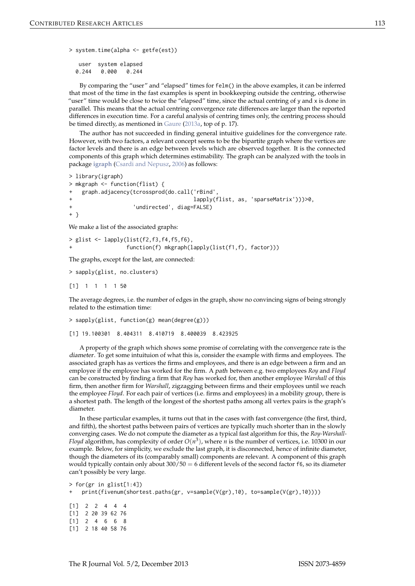```
> system.time(alpha <- getfe(est))
```
user system elapsed 0.244 0.000 0.244

By comparing the "user" and "elapsed" times for felm() in the above examples, it can be inferred that most of the time in the fast examples is spent in bookkeeping outside the centring, otherwise "user" time would be close to twice the "elapsed" time, since the actual centring of y and x is done in parallel. This means that the actual centring convergence rate differences are larger than the reported differences in execution time. For a careful analysis of centring times only, the centring process should be timed directly, as mentioned in [Gaure](#page-11-4) [\(2013a,](#page-11-4) top of p. 17).

The author has not succeeded in finding general intuitive guidelines for the convergence rate. However, with two factors, a relevant concept seems to be the bipartite graph where the vertices are factor levels and there is an edge between levels which are observed together. It is the connected components of this graph which determines estimability. The graph can be analyzed with the tools in package **[igraph](http://CRAN.R-project.org/package=igraph)** [\(Csardi and Nepusz,](#page-11-14) [2006\)](#page-11-14) as follows:

```
> library(igraph)
> mkgraph <- function(flist) {
   + graph.adjacency(tcrossprod(do.call('rBind',
                                    lapply(flist, as, 'sparseMatrix')))>0,
+ 'undirected', diag=FALSE)
+ }
```
We make a list of the associated graphs:

```
> glist \le lapply(list(f2,f3,f4,f5,f6),
                  function(f) mkgraph(lapply(list(f1,f), factor)))
```
The graphs, except for the last, are connected:

```
> sapply(glist, no.clusters)
```
[1] 1 1 1 1 50

The average degrees, i.e. the number of edges in the graph, show no convincing signs of being strongly related to the estimation time:

```
> sapply(glist, function(g) mean(degree(g)))
```

```
[1] 19.100301 8.404311 8.410719 8.400039 8.423925
```
A property of the graph which shows some promise of correlating with the convergence rate is the diameter. To get some intuituion of what this is, consider the example with firms and employees. The associated graph has as vertices the firms and employees, and there is an edge between a firm and an employee if the employee has worked for the firm. A path between e.g. two employees *Roy* and *Floyd* can be constructed by finding a firm that *Roy* has worked for, then another employee *Warshall* of this firm, then another firm for *Warshall*, zigzagging between firms and their employees until we reach the employee *Floyd*. For each pair of vertices (i.e. firms and employees) in a mobility group, there is a shortest path. The length of the longest of the shortest paths among all vertex pairs is the graph's diameter.

In these particular examples, it turns out that in the cases with fast convergence (the first, third, and fifth), the shortest paths between pairs of vertices are typically much shorter than in the slowly converging cases. We do not compute the diameter as a typical fast algorithm for this, the *Roy-Warshall-Floyd* algorithm, has complexity of order  $O(n^3)$ , where *n* is the number of vertices, i.e. 10300 in our example. Below, for simplicity, we exclude the last graph, it is disconnected, hence of infinite diameter, though the diameters of its (comparably small) components are relevant. A component of this graph would typically contain only about  $300/50 = 6$  different levels of the second factor  $f_6$ , so its diameter can't possibly be very large.

```
> for(gr in glist[1:4])
   print(fivenum(shortest.paths(gr, v=sample(V(gr),10), to=sample(V(gr),10)))[1] 2 2 4 4 4
[1] 2 20 39 62 76
[1] 2 4 6 6 8
[1] 2 18 40 58 76
```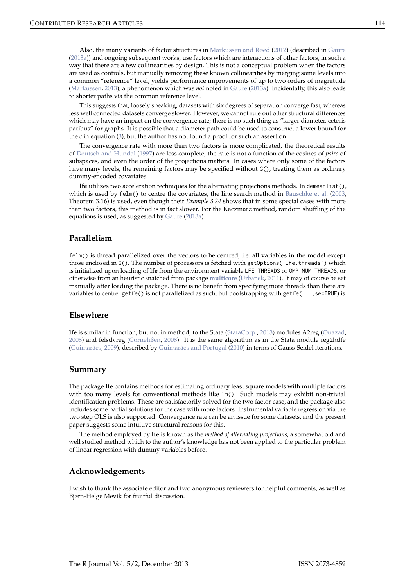<span id="page-10-0"></span>Also, the many variants of factor structures in [Markussen and Røed](#page-12-1) [\(2012\)](#page-12-1) (described in [Gaure](#page-11-4) [\(2013a\)](#page-11-4)) and ongoing subsequent works, use factors which are interactions of other factors, in such a way that there are a few collinearities by design. This is not a conceptual problem when the factors are used as controls, but manually removing these known collinearities by merging some levels into a common "reference" level, yields performance improvements of up to two orders of magnitude [\(Markussen,](#page-12-9) [2013\)](#page-12-9), a phenomenon which was *not* noted in [Gaure](#page-11-4) [\(2013a\)](#page-11-4). Incidentally, this also leads to shorter paths via the common reference level.

This suggests that, loosely speaking, datasets with six degrees of separation converge fast, whereas less well connected datasets converge slower. However, we cannot rule out other structural differences which may have an impact on the convergence rate; there is no such thing as "larger diameter, ceteris paribus" for graphs. It is possible that a diameter path could be used to construct a lower bound for the *c* in equation [\(3\)](#page-7-0), but the author has not found a proof for such an assertion.

The convergence rate with more than two factors is more complicated, the theoretical results of [Deutsch and Hundal](#page-11-11) [\(1997\)](#page-11-11) are less complete, the rate is not a function of the cosines of *pairs* of subspaces, and even the order of the projections matters. In cases where only some of the factors have many levels, the remaining factors may be specified without  $G()$ , treating them as ordinary dummy-encoded covariates.

**lfe** utilizes two acceleration techniques for the alternating projections methods. In demeanlist(), which is used by felm() to centre the covariates, the line search method in [Bauschke et al.](#page-11-12) [\(2003,](#page-11-12) Theorem 3.16) is used, even though their *Example 3.24* shows that in some special cases with more than two factors, this method is in fact slower. For the Kaczmarz method, random shuffling of the equations is used, as suggested by [Gaure](#page-11-4) [\(2013a\)](#page-11-4).

### **Parallelism**

felm() is thread parallelized over the vectors to be centred, i.e. all variables in the model except those enclosed in G(). The number of processors is fetched with getOptions('lfe.threads') which is initialized upon loading of **lfe** from the environment variable LFE\_THREADS or OMP\_NUM\_THREADS, or otherwise from an heuristic snatched from package **[multicore](http://CRAN.R-project.org/package=multicore)** [\(Urbanek,](#page-12-10) [2011\)](#page-12-10). It may of course be set manually after loading the package. There is no benefit from specifying more threads than there are variables to centre. getfe() is not parallelized as such, but bootstrapping with getfe(..., se=TRUE) is.

## **Elsewhere**

**lfe** is similar in function, but not in method, to the Stata [\(StataCorp.,](#page-12-11) [2013\)](#page-12-11) modules A2reg [\(Ouazad,](#page-12-12) [2008\)](#page-12-12) and felsdvreg [\(Cornelißen,](#page-11-15) [2008\)](#page-11-15). It is the same algorithm as in the Stata module reg2hdfe [\(Guimarães,](#page-11-16) [2009\)](#page-11-16), described by [Guimarães and Portugal](#page-12-4) [\(2010\)](#page-12-4) in terms of Gauss-Seidel iterations.

#### **Summary**

The package **lfe** contains methods for estimating ordinary least square models with multiple factors with too many levels for conventional methods like lm(). Such models may exhibit non-trivial identification problems. These are satisfactorily solved for the two factor case, and the package also includes some partial solutions for the case with more factors. Instrumental variable regression via the two step OLS is also supported. Convergence rate can be an issue for some datasets, and the present paper suggests some intuitive structural reasons for this.

The method employed by **lfe** is known as the *method of alternating projections*, a somewhat old and well studied method which to the author's knowledge has not been applied to the particular problem of linear regression with dummy variables before.

#### **Acknowledgements**

I wish to thank the associate editor and two anonymous reviewers for helpful comments, as well as Bjørn-Helge Mevik for fruitful discussion.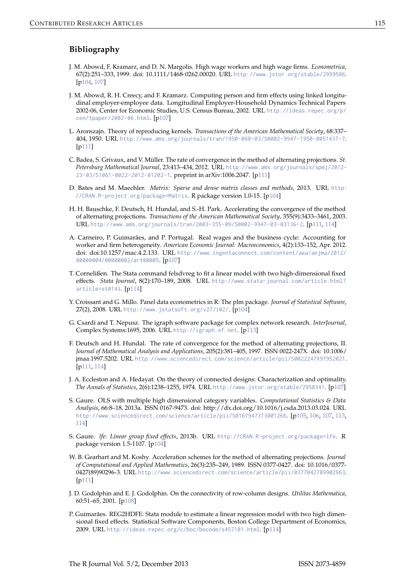## **Bibliography**

- <span id="page-11-0"></span>J. M. Abowd, F. Kramarz, and D. N. Margolis. High wage workers and high wage firms. *Econometrica*, 67(2):251–333, 1999. doi: 10.1111/1468-0262.00020. URL <http://www.jstor.org/stable/2999586>. [[p104,](#page-0-0) [107\]](#page-3-0)
- <span id="page-11-5"></span>J. M. Abowd, R. H. Creecy, and F. Kramarz. Computing person and firm effects using linked longitudinal employer-employee data. Longitudinal Employer-Household Dynamics Technical Papers 2002-06, Center for Economic Studies, U.S. Census Bureau, 2002. URL [http://ideas.repec.org/p/](http://ideas.repec.org/p/cen/tpaper/2002-06.html) [cen/tpaper/2002-06.html](http://ideas.repec.org/p/cen/tpaper/2002-06.html). [[p107\]](#page-3-0)
- <span id="page-11-9"></span>L. Aronszajn. Theory of reproducing kernels. *Transactions of the American Mathematical Society*, 68:337– 404, 1950. URL <http://www.ams.org/journals/tran/1950-068-03/S0002-9947-1950-0051437-7>. [[p111\]](#page-7-1)
- <span id="page-11-13"></span>C. Badea, S. Grivaux, and V. Müller. The rate of convergence in the method of alternating projections. *St. Petersburg Mathematical Journal*, 23:413–434, 2012. URL [http://www.ams.org/journals/spmj/2012-](http://www.ams.org/journals/spmj/2012-23-03/S1061-0022-2012-01202-1) [23-03/S1061-0022-2012-01202-1](http://www.ams.org/journals/spmj/2012-23-03/S1061-0022-2012-01202-1). preprint in arXiv:1006.2047. [[p111\]](#page-7-1)
- <span id="page-11-1"></span>D. Bates and M. Maechler. *Matrix: Sparse and dense matrix classes and methods*, 2013. URL [http:](http://CRAN.R-project.org/package=Matrix) [//CRAN.R-project.org/package=Matrix](http://CRAN.R-project.org/package=Matrix). R package version 1.0-15. [[p104\]](#page-0-0)
- <span id="page-11-12"></span>H. H. Bauschke, F. Deutsch, H. Hundal, and S.-H. Park. Accelerating the convergence of the method of alternating projections. *Transactions of the American Mathematical Society*, 355(9):3433–3461, 2003. URL <http://www.ams.org/journals/tran/2003-355-09/S0002-9947-03-03136-2>. [[p111,](#page-7-1) [114\]](#page-10-0)
- <span id="page-11-7"></span>A. Carneiro, P. Guimarães, and P. Portugal. Real wages and the business cycle: Accounting for worker and firm heterogeneity. *American Economic Journal: Macroeconomics*, 4(2):133–152, Apr. 2012. doi: doi:10.1257/mac.4.2.133. URL [http://www.ingentaconnect.com/content/aea/aejma/2012/](http://www.ingentaconnect.com/content/aea/aejma/2012/00000004/00000002/art00005) [00000004/00000002/art00005](http://www.ingentaconnect.com/content/aea/aejma/2012/00000004/00000002/art00005). [[p107\]](#page-3-0)
- <span id="page-11-15"></span>T. Cornelißen. The Stata command felsdvreg to fit a linear model with two high-dimensional fixed effects. *Stata Journal*, 8(2):170–189, 2008. URL [http://www.stata-journal.com/article.html?](http://www.stata-journal.com/article.html?article=st0143) [article=st0143](http://www.stata-journal.com/article.html?article=st0143). [[p114\]](#page-10-0)
- <span id="page-11-2"></span>Y. Croissant and G. Millo. Panel data econometrics in R: The plm package. *Journal of Statistical Software*, 27(2), 2008. URL <http://www.jstatsoft.org/v27/i02/>. [[p104\]](#page-0-0)
- <span id="page-11-14"></span>G. Csardi and T. Nepusz. The igraph software package for complex network research. *InterJournal*, Complex Systems:1695, 2006. URL <http://igraph.sf.net>. [[p113\]](#page-9-0)
- <span id="page-11-11"></span>F. Deutsch and H. Hundal. The rate of convergence for the method of alternating projections, II. *Journal of Mathematical Analysis and Applications*, 205(2):381–405, 1997. ISSN 0022-247X. doi: 10.1006/ jmaa.1997.5202. URL <http://www.sciencedirect.com/science/article/pii/S0022247X97952021>. [[p111,](#page-7-1) [114\]](#page-10-0)
- <span id="page-11-6"></span>J. A. Eccleston and A. Hedayat. On the theory of connected designs: Characterization and optimality. *The Annals of Statistics*, 2(6):1238–1255, 1974. URL <http://www.jstor.org/stable/2958341>. [[p107\]](#page-3-0)
- <span id="page-11-4"></span>S. Gaure. OLS with multiple high dimensional category variables. *Computational Statistics & Data Analysis*, 66:8–18, 2013a. ISSN 0167-9473. doi: http://dx.doi.org/10.1016/j.csda.2013.03.024. URL <http://www.sciencedirect.com/science/article/pii/S0167947313001266>. [[p105,](#page-1-1) [106,](#page-2-1) [107,](#page-3-0) [113,](#page-9-0) [114\]](#page-10-0)
- <span id="page-11-3"></span>S. Gaure. *lfe: Linear group fixed effects*, 2013b. URL <http://CRAN.R-project.org/package=lfe>. R package version 1.5-1107. [[p104\]](#page-0-0)
- <span id="page-11-10"></span>W. B. Gearhart and M. Koshy. Acceleration schemes for the method of alternating projections. *Journal of Computational and Applied Mathematics*, 26(3):235–249, 1989. ISSN 0377-0427. doi: 10.1016/0377- 0427(89)90296-3. URL <http://www.sciencedirect.com/science/article/pii/0377042789902963>. [[p111\]](#page-7-1)
- <span id="page-11-8"></span>J. D. Godolphin and E. J. Godolphin. On the connectivity of row-column designs. *Utilitas Mathematica*, 60:51–65, 2001. [[p108\]](#page-4-0)
- <span id="page-11-16"></span>P. Guimarães. REG2HDFE: Stata module to estimate a linear regression model with two high dimensional fixed effects. Statistical Software Components, Boston College Department of Economics, 2009. URL <http://ideas.repec.org/c/boc/bocode/s457101.html>. [[p114\]](#page-10-0)